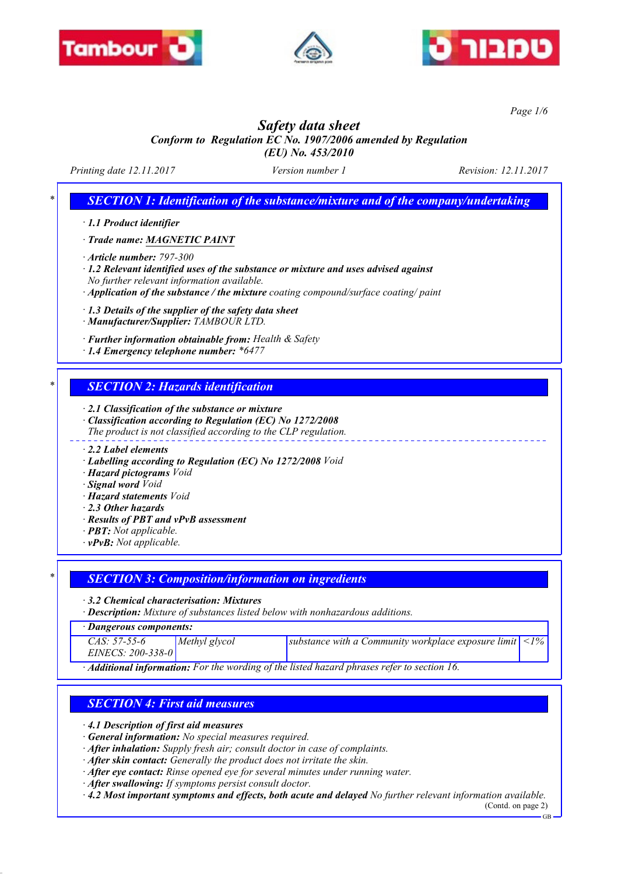





*Page 1/6*

# *Safety data sheet*

*Conform to Regulation EC No. 1907/2006 amended by Regulation (EU) No. 453/2010*

*Printing date 12.11.2017 Version number 1 Revision: 12.11.2017*

*\* SECTION 1: Identification of the substance/mixture and of the company/undertaking*

*· 1.1 Product identifier*

*· Trade name: MAGNETIC PAINT*

*· Article number: 797-300*

*· 1.2 Relevant identified uses of the substance or mixture and uses advised against No further relevant information available.*

*· Application of the substance / the mixture coating compound/surface coating/ paint*

*· 1.3 Details of the supplier of the safety data sheet*

*· Manufacturer/Supplier: TAMBOUR LTD.*

*· Further information obtainable from: Health & Safety*

*· 1.4 Emergency telephone number: \*6477*

## *\* SECTION 2: Hazards identification*

*· 2.1 Classification of the substance or mixture*

*· Classification according to Regulation (EC) No 1272/2008*

*The product is not classified according to the CLP regulation.*

*· 2.2 Label elements*

- *· Labelling according to Regulation (EC) No 1272/2008 Void*
- *· Hazard pictograms Void*
- *· Signal word Void*
- *· Hazard statements Void*
- *· 2.3 Other hazards*
- *· Results of PBT and vPvB assessment*
- *· PBT: Not applicable.*
- *· vPvB: Not applicable.*

## *\* SECTION 3: Composition/information on ingredients*

*· 3.2 Chemical characterisation: Mixtures*

*· Description: Mixture of substances listed below with nonhazardous additions.*

| · Dangerous components: |  |
|-------------------------|--|
|-------------------------|--|

| CAS: 57-55-6<br>EINECS: 200-338-0 | Methyl glycol | substance with a Community workplace exposure limit $ $ < 1%, |  |
|-----------------------------------|---------------|---------------------------------------------------------------|--|
|                                   |               |                                                               |  |

*· Additional information: For the wording of the listed hazard phrases refer to section 16.*

## *SECTION 4: First aid measures*

*· 4.1 Description of first aid measures*

*· General information: No special measures required.*

*· After inhalation: Supply fresh air; consult doctor in case of complaints.*

*· After skin contact: Generally the product does not irritate the skin.*

*· After eye contact: Rinse opened eye for several minutes under running water.*

*· After swallowing: If symptoms persist consult doctor.*

*· 4.2 Most important symptoms and effects, both acute and delayed No further relevant information available.*

(Contd. on page 2) GB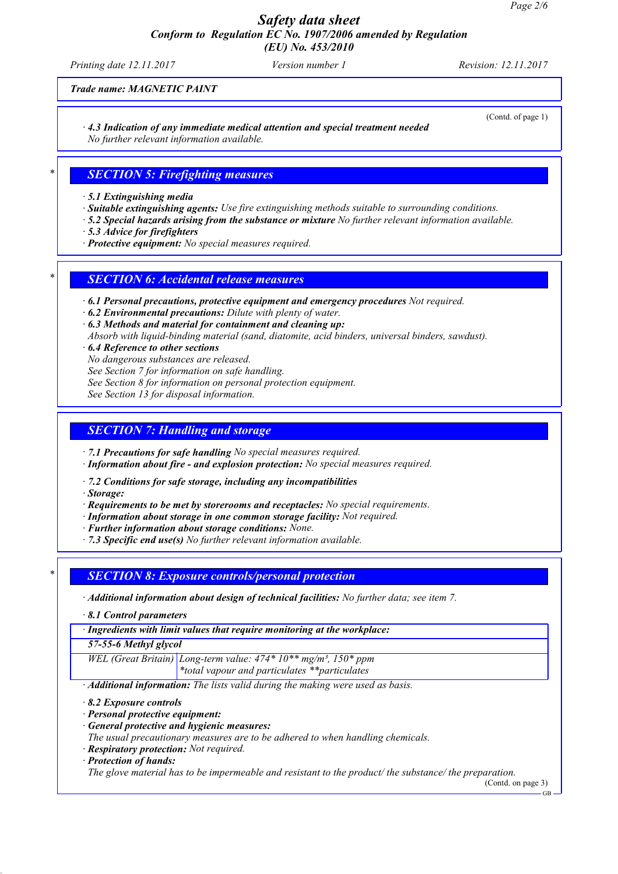*Printing date 12.11.2017 Version number 1 Revision: 12.11.2017*

(Contd. of page 1)

*Trade name: MAGNETIC PAINT*

*· 4.3 Indication of any immediate medical attention and special treatment needed*

*No further relevant information available.*

# *\* SECTION 5: Firefighting measures*

*· 5.1 Extinguishing media*

- *· Suitable extinguishing agents: Use fire extinguishing methods suitable to surrounding conditions.*
- *· 5.2 Special hazards arising from the substance or mixture No further relevant information available.*
- *· 5.3 Advice for firefighters*
- *· Protective equipment: No special measures required.*

# *\* SECTION 6: Accidental release measures*

*· 6.1 Personal precautions, protective equipment and emergency procedures Not required.*

*· 6.2 Environmental precautions: Dilute with plenty of water.*

*· 6.3 Methods and material for containment and cleaning up:*

*Absorb with liquid-binding material (sand, diatomite, acid binders, universal binders, sawdust).*

*· 6.4 Reference to other sections*

*No dangerous substances are released.*

*See Section 7 for information on safe handling.*

*See Section 8 for information on personal protection equipment.*

*See Section 13 for disposal information.*

# *SECTION 7: Handling and storage*

*· 7.1 Precautions for safe handling No special measures required.*

*· Information about fire - and explosion protection: No special measures required.*

*· 7.2 Conditions for safe storage, including any incompatibilities*

*· Storage:*

- *· Requirements to be met by storerooms and receptacles: No special requirements.*
- *· Information about storage in one common storage facility: Not required.*
- *· Further information about storage conditions: None.*
- *· 7.3 Specific end use(s) No further relevant information available.*

# *\* SECTION 8: Exposure controls/personal protection*

*· Additional information about design of technical facilities: No further data; see item 7.*

*· 8.1 Control parameters*

*· Ingredients with limit values that require monitoring at the workplace:*

*57-55-6 Methyl glycol*

*WEL (Great Britain) Long-term value: 474\* 10\*\* mg/m³, 150\* ppm \*total vapour and particulates \*\*particulates*

*· Additional information: The lists valid during the making were used as basis.*

- *· 8.2 Exposure controls*
- *· Personal protective equipment:*
- *· General protective and hygienic measures:*

*The usual precautionary measures are to be adhered to when handling chemicals.*

- *· Respiratory protection: Not required.*
- *· Protection of hands:*

*The glove material has to be impermeable and resistant to the product/ the substance/ the preparation.*

(Contd. on page 3)

GB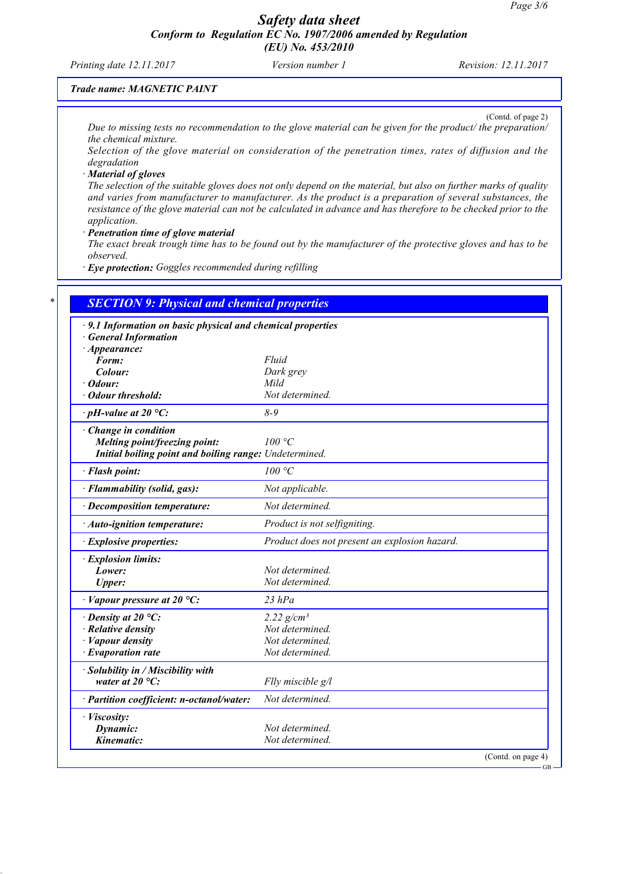*Printing date 12.11.2017 Version number 1 Revision: 12.11.2017*

(Contd. of page 2)

## *Trade name: MAGNETIC PAINT*

*Due to missing tests no recommendation to the glove material can be given for the product/ the preparation/ the chemical mixture.*

*Selection of the glove material on consideration of the penetration times, rates of diffusion and the degradation*

#### *· Material of gloves*

*The selection of the suitable gloves does not only depend on the material, but also on further marks of quality and varies from manufacturer to manufacturer. As the product is a preparation of several substances, the resistance of the glove material can not be calculated in advance and has therefore to be checked prior to the application.*

#### *· Penetration time of glove material*

*The exact break trough time has to be found out by the manufacturer of the protective gloves and has to be observed.*

*· Eye protection: Goggles recommended during refilling*

| · 9.1 Information on basic physical and chemical properties<br><b>General Information</b> |                                               |
|-------------------------------------------------------------------------------------------|-----------------------------------------------|
| · Appearance:                                                                             |                                               |
| Form:                                                                                     | Fluid                                         |
| Colour:                                                                                   | Dark grey                                     |
| $\cdot$ Odour:                                                                            | Mild                                          |
| · Odour threshold:                                                                        | Not determined.                               |
| $\cdot$ pH-value at 20 °C:                                                                | $8 - 9$                                       |
| · Change in condition                                                                     |                                               |
| Melting point/freezing point:                                                             | 100 °C                                        |
| Initial boiling point and boiling range: Undetermined.                                    |                                               |
| · Flash point:                                                                            | 100 °C                                        |
| · Flammability (solid, gas):                                                              | Not applicable.                               |
| $\cdot$ Decomposition temperature:                                                        | Not determined.                               |
| $\cdot$ Auto-ignition temperature:                                                        | Product is not selfigniting.                  |
| · Explosive properties:                                                                   | Product does not present an explosion hazard. |
| · Explosion limits:                                                                       |                                               |
| Lower:                                                                                    | Not determined.                               |
| <b>Upper:</b>                                                                             | Not determined.                               |
| $\cdot$ Vapour pressure at 20 °C:                                                         | $23$ hPa                                      |
| $\cdot$ Density at 20 °C:                                                                 | 2.22 $g/cm^{3}$                               |
| $\cdot$ Relative density                                                                  | Not determined.                               |
| $\cdot$ <i>Vapour density</i>                                                             | Not determined.                               |
| $\cdot$ Evaporation rate                                                                  | Not determined.                               |
| · Solubility in / Miscibility with                                                        |                                               |
| water at $20^{\circ}$ C:                                                                  | Flly miscible g/l                             |
| · Partition coefficient: n-octanol/water:                                                 | Not determined.                               |
| · Viscosity:                                                                              |                                               |
| Dynamic:                                                                                  | Not determined.                               |
| Kinematic:                                                                                | Not determined.                               |

GB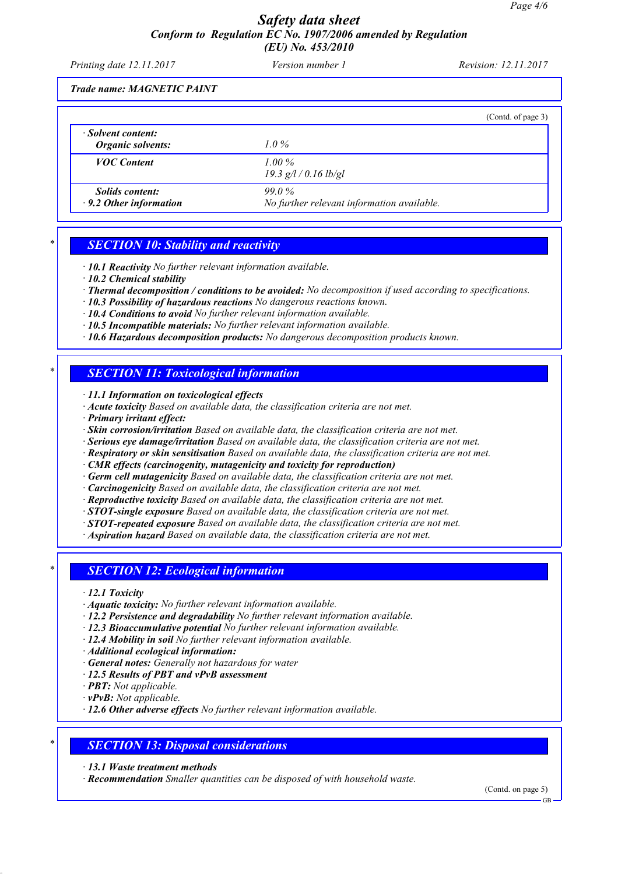*Printing date 12.11.2017 Version number 1 Revision: 12.11.2017*

*Trade name: MAGNETIC PAINT*

|                                                         |                                                        | (Contd. of page 3) |
|---------------------------------------------------------|--------------------------------------------------------|--------------------|
| $\cdot$ Solvent content:<br><b>Organic solvents:</b>    | $1.0\%$                                                |                    |
| <b>VOC</b> Content                                      | $1.00\%$<br>$19.3$ g/l / 0.16 lb/gl                    |                    |
| <i>Solids content:</i><br>$\cdot$ 9.2 Other information | $99.0\%$<br>No further relevant information available. |                    |

## *\* SECTION 10: Stability and reactivity*

*· 10.1 Reactivity No further relevant information available.*

- *· 10.2 Chemical stability*
- *· Thermal decomposition / conditions to be avoided: No decomposition if used according to specifications.*
- *· 10.3 Possibility of hazardous reactions No dangerous reactions known.*
- *· 10.4 Conditions to avoid No further relevant information available.*
- *· 10.5 Incompatible materials: No further relevant information available.*
- *· 10.6 Hazardous decomposition products: No dangerous decomposition products known.*

## *\* SECTION 11: Toxicological information*

*· 11.1 Information on toxicological effects*

- *· Acute toxicity Based on available data, the classification criteria are not met.*
- *· Primary irritant effect:*
- *· Skin corrosion/irritation Based on available data, the classification criteria are not met.*
- *· Serious eye damage/irritation Based on available data, the classification criteria are not met.*
- *· Respiratory or skin sensitisation Based on available data, the classification criteria are not met.*
- *· CMR effects (carcinogenity, mutagenicity and toxicity for reproduction)*
- *· Germ cell mutagenicity Based on available data, the classification criteria are not met.*
- *· Carcinogenicity Based on available data, the classification criteria are not met.*
- *· Reproductive toxicity Based on available data, the classification criteria are not met.*
- *· STOT-single exposure Based on available data, the classification criteria are not met.*
- *· STOT-repeated exposure Based on available data, the classification criteria are not met.*
- *· Aspiration hazard Based on available data, the classification criteria are not met.*

## *\* SECTION 12: Ecological information*

*· 12.1 Toxicity*

- *· Aquatic toxicity: No further relevant information available.*
- *· 12.2 Persistence and degradability No further relevant information available.*
- *· 12.3 Bioaccumulative potential No further relevant information available.*
- *· 12.4 Mobility in soil No further relevant information available.*
- *· Additional ecological information:*
- *· General notes: Generally not hazardous for water*
- *· 12.5 Results of PBT and vPvB assessment*
- *· PBT: Not applicable.*
- *· vPvB: Not applicable.*
- *· 12.6 Other adverse effects No further relevant information available.*

## *\* SECTION 13: Disposal considerations*

- *· 13.1 Waste treatment methods*
- *· Recommendation Smaller quantities can be disposed of with household waste.*

(Contd. on page 5)

GB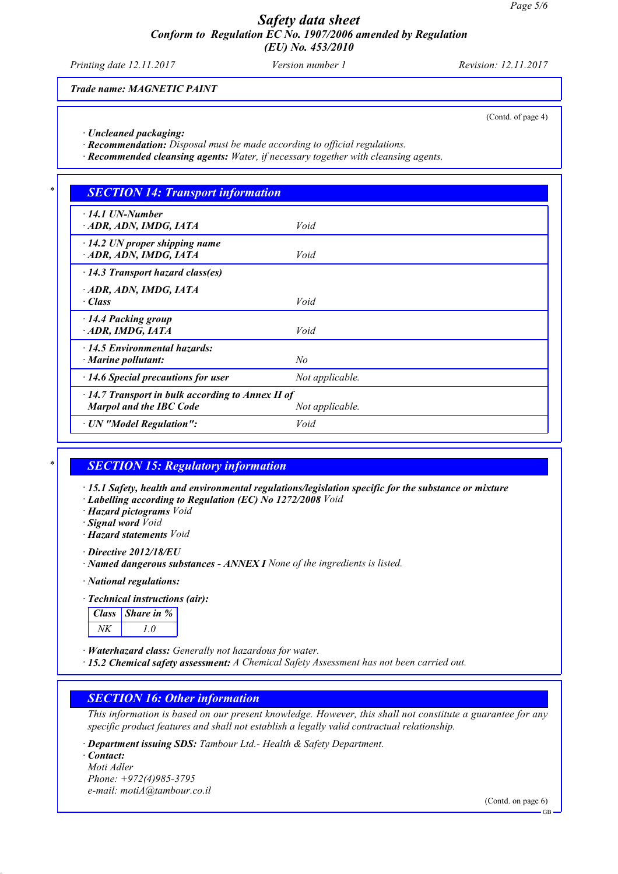*Printing date 12.11.2017 Version number 1 Revision: 12.11.2017*

*Trade name: MAGNETIC PAINT*

(Contd. of page 4)

*· Uncleaned packaging:*

*· Recommendation: Disposal must be made according to official regulations.*

*· Recommended cleansing agents: Water, if necessary together with cleansing agents.*

#### *\* SECTION 14: Transport information*

| $\cdot$ 14.1 UN-Number<br>· ADR, ADN, IMDG, IATA                                                             | Void            |  |
|--------------------------------------------------------------------------------------------------------------|-----------------|--|
| $\cdot$ 14.2 UN proper shipping name<br>ADR, ADN, IMDG, IATA                                                 | Void            |  |
| $\cdot$ 14.3 Transport hazard class(es)                                                                      |                 |  |
| · ADR, ADN, IMDG, IATA<br>· Class                                                                            | Void            |  |
| $\cdot$ 14.4 Packing group<br>ADR, IMDG, IATA                                                                | Void            |  |
| $\cdot$ 14.5 Environmental hazards:<br>$\cdot$ Marine pollutant:                                             | No              |  |
| $\cdot$ 14.6 Special precautions for user                                                                    | Not applicable. |  |
| $\cdot$ 14.7 Transport in bulk according to Annex II of<br><b>Marpol and the IBC Code</b><br>Not applicable. |                 |  |
| · UN "Model Regulation":                                                                                     | Void            |  |

#### *\* SECTION 15: Regulatory information*

*· 15.1 Safety, health and environmental regulations/legislation specific for the substance or mixture*

*· Labelling according to Regulation (EC) No 1272/2008 Void*

*· Hazard pictograms Void*

*· Signal word Void*

*· Hazard statements Void*

*· Directive 2012/18/EU*

*· National regulations:*

#### *· Technical instructions (air):*

| lass | Share in $\%$ |
|------|---------------|
|      |               |

*· Waterhazard class: Generally not hazardous for water.*

*· 15.2 Chemical safety assessment: A Chemical Safety Assessment has not been carried out.*

## *SECTION 16: Other information*

*This information is based on our present knowledge. However, this shall not constitute a guarantee for any specific product features and shall not establish a legally valid contractual relationship.*

*· Department issuing SDS: Tambour Ltd.- Health & Safety Department.*

*· Contact: Moti Adler Phone: +972(4)985-3795 e-mail: motiA@tambour.co.il*

(Contd. on page 6)

*<sup>·</sup> Named dangerous substances - ANNEX I None of the ingredients is listed.*

GB